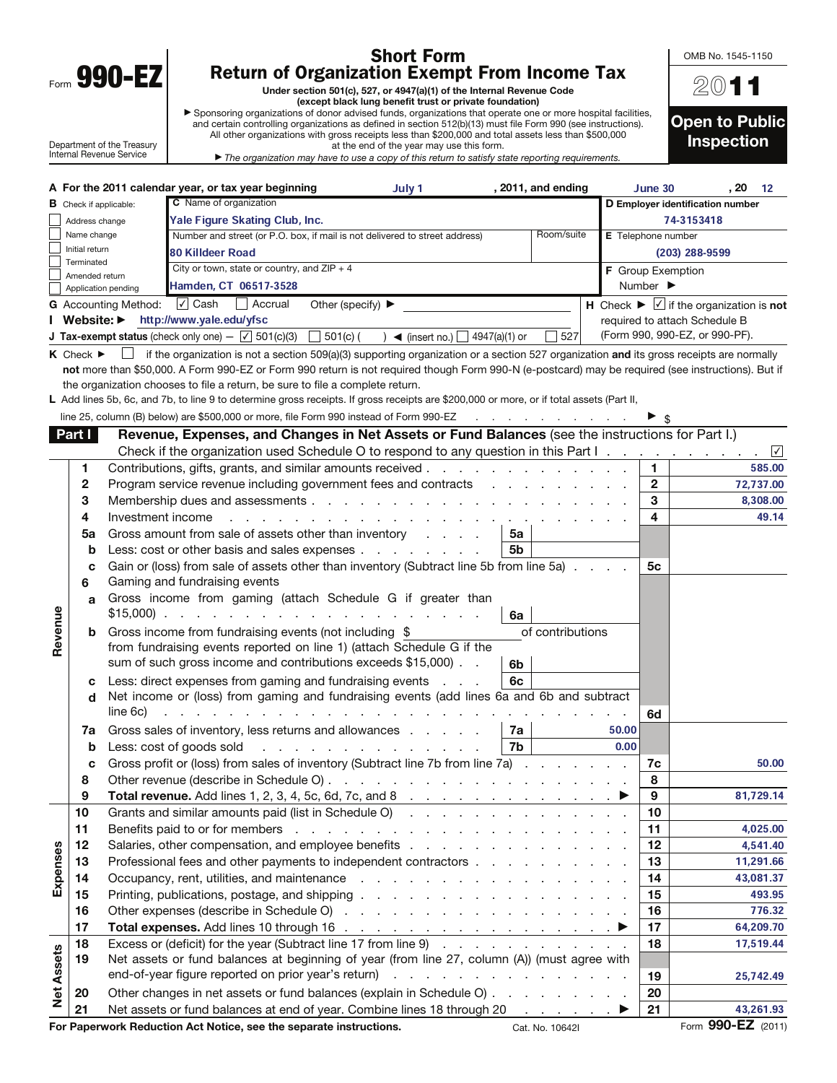|      | V<br>V<br>П |  |
|------|-------------|--|
| Form |             |  |

 $\mathbf{I}$ 

## Short Form Return of Organization Exempt From Income Tax

Under section 501(c), 527, or 4947(a)(1) of the Internal Revenue Code (except black lung benefit trust or private foundation)

a Sponsoring organizations of donor advised funds, organizations that operate one or more hospital facilities, and certain controlling organizations as defined in section 512(b)(13) must file Form 990 (see instructions). All other organizations with gross receipts less than \$200,000 and total assets less than \$500,000 at the end of the year may use this form.

Department of the Treasury Internal Revenue Service

The organization may have to use a copy of this return to satisfy state reporting requirements.

| 2011                                       |
|--------------------------------------------|
| <b>Open to Public</b><br><b>Inspection</b> |

OMB No. 1545-1150

|                   |                                 |                               | A For the 2011 calendar year, or tax year beginning                                                                                                | July 1                                   |    | , 2011, and ending                                                                                              |       | June 30                      | , 20                                                          | 12        |
|-------------------|---------------------------------|-------------------------------|----------------------------------------------------------------------------------------------------------------------------------------------------|------------------------------------------|----|-----------------------------------------------------------------------------------------------------------------|-------|------------------------------|---------------------------------------------------------------|-----------|
|                   | <b>B</b> Check if applicable:   |                               | C Name of organization                                                                                                                             |                                          |    |                                                                                                                 |       |                              | D Employer identification number                              |           |
|                   | Address change                  |                               | Yale Figure Skating Club, Inc.                                                                                                                     |                                          |    |                                                                                                                 |       |                              | 74-3153418                                                    |           |
|                   | Name change                     |                               | Number and street (or P.O. box, if mail is not delivered to street address)                                                                        |                                          |    | Room/suite                                                                                                      |       | E Telephone number           |                                                               |           |
|                   | Initial return                  |                               | <b>80 Killdeer Road</b>                                                                                                                            |                                          |    |                                                                                                                 |       |                              | $(203)$ 288-9599                                              |           |
|                   | Terminated                      |                               | City or town, state or country, and $ZIP + 4$                                                                                                      |                                          |    |                                                                                                                 |       | F Group Exemption            |                                                               |           |
|                   | Amended return                  | Application pending           | Hamden, CT 06517-3528                                                                                                                              |                                          |    |                                                                                                                 |       | Number $\blacktriangleright$ |                                                               |           |
|                   |                                 | <b>G</b> Accounting Method:   | $\cup$ Cash<br>Accrual                                                                                                                             | Other (specify) $\blacktriangleright$    |    |                                                                                                                 |       |                              | H Check $\blacktriangleright \Box$ if the organization is not |           |
|                   |                                 |                               | Website: http://www.yale.edu/yfsc                                                                                                                  |                                          |    |                                                                                                                 |       |                              | required to attach Schedule B                                 |           |
|                   |                                 |                               | <b>J Tax-exempt status</b> (check only one) $ \sqrt{}$ 501(c)(3) $\Box$ 501(c) (                                                                   | $\sum$ (insert no.) $\sum$ 4947(a)(1) or |    | 527                                                                                                             |       |                              | (Form 990, 990-EZ, or 990-PF).                                |           |
|                   | $K$ Check $\blacktriangleright$ |                               | if the organization is not a section 509(a)(3) supporting organization or a section 527 organization and its gross receipts are normally           |                                          |    |                                                                                                                 |       |                              |                                                               |           |
|                   |                                 |                               | not more than \$50,000. A Form 990-EZ or Form 990 return is not required though Form 990-N (e-postcard) may be required (see instructions). But if |                                          |    |                                                                                                                 |       |                              |                                                               |           |
|                   |                                 |                               | the organization chooses to file a return, be sure to file a complete return.                                                                      |                                          |    |                                                                                                                 |       |                              |                                                               |           |
|                   |                                 |                               | L Add lines 5b, 6c, and 7b, to line 9 to determine gross receipts. If gross receipts are \$200,000 or more, or if total assets (Part II,           |                                          |    |                                                                                                                 |       |                              |                                                               |           |
|                   |                                 |                               | line 25, column (B) below) are \$500,000 or more, file Form 990 instead of Form 990-EZ                                                             |                                          |    |                                                                                                                 |       |                              |                                                               |           |
|                   | Part I                          |                               | Revenue, Expenses, and Changes in Net Assets or Fund Balances (see the instructions for Part I.)                                                   |                                          |    |                                                                                                                 |       |                              |                                                               |           |
|                   |                                 |                               | Check if the organization used Schedule O to respond to any question in this Part I.                                                               |                                          |    |                                                                                                                 |       |                              |                                                               | $\sqrt{}$ |
|                   | 1                               |                               | Contributions, gifts, grants, and similar amounts received.                                                                                        |                                          |    | the contract of the contract of the contract of the contract of the contract of the contract of the contract of |       | 1                            |                                                               | 585.00    |
|                   | $\mathbf{2}$                    |                               | Program service revenue including government fees and contracts                                                                                    |                                          |    |                                                                                                                 |       | $\mathbf{2}$                 |                                                               | 72,737.00 |
|                   | 3                               |                               | Membership dues and assessments                                                                                                                    |                                          |    |                                                                                                                 |       | 3                            |                                                               | 8,308.00  |
|                   | 4                               | Investment income             |                                                                                                                                                    | <u>.</u>                                 |    |                                                                                                                 |       | 4                            |                                                               | 49.14     |
|                   | 5a                              |                               | Gross amount from sale of assets other than inventory                                                                                              |                                          | 5a |                                                                                                                 |       |                              |                                                               |           |
|                   | $\mathbf b$                     |                               | Less: cost or other basis and sales expenses                                                                                                       |                                          | 5b |                                                                                                                 |       |                              |                                                               |           |
|                   | с                               |                               | Gain or (loss) from sale of assets other than inventory (Subtract line 5b from line 5a)                                                            |                                          |    |                                                                                                                 |       | 5с                           |                                                               |           |
|                   | 6                               | Gaming and fundraising events |                                                                                                                                                    |                                          |    |                                                                                                                 |       |                              |                                                               |           |
|                   | a                               |                               | Gross income from gaming (attach Schedule G if greater than                                                                                        |                                          |    |                                                                                                                 |       |                              |                                                               |           |
|                   |                                 |                               |                                                                                                                                                    |                                          | 6a |                                                                                                                 |       |                              |                                                               |           |
| Revenue           | b                               |                               | Gross income from fundraising events (not including \$                                                                                             |                                          |    | of contributions                                                                                                |       |                              |                                                               |           |
|                   |                                 |                               | from fundraising events reported on line 1) (attach Schedule G if the                                                                              |                                          |    |                                                                                                                 |       |                              |                                                               |           |
|                   |                                 |                               | sum of such gross income and contributions exceeds \$15,000).                                                                                      |                                          | 6b |                                                                                                                 |       |                              |                                                               |           |
|                   | c                               |                               | Less: direct expenses from gaming and fundraising events                                                                                           | <b>Contractor</b>                        | 6c |                                                                                                                 |       |                              |                                                               |           |
|                   | d                               |                               | Net income or (loss) from gaming and fundraising events (add lines 6a and 6b and subtract                                                          |                                          |    |                                                                                                                 |       |                              |                                                               |           |
|                   |                                 | line 6c)                      |                                                                                                                                                    |                                          |    |                                                                                                                 |       | 6d                           |                                                               |           |
|                   | 7a                              |                               | Gross sales of inventory, less returns and allowances                                                                                              |                                          | 7a |                                                                                                                 | 50.00 |                              |                                                               |           |
|                   | b                               |                               | Less: cost of goods sold                                                                                                                           | a carrier and a carrier and a carrier    | 7b |                                                                                                                 | 0.00  |                              |                                                               |           |
|                   | с                               |                               | Gross profit or (loss) from sales of inventory (Subtract line 7b from line 7a)                                                                     |                                          |    |                                                                                                                 |       | 7c                           |                                                               | 50.00     |
|                   | 8                               |                               |                                                                                                                                                    |                                          |    |                                                                                                                 |       | 8                            |                                                               |           |
|                   | 9                               |                               |                                                                                                                                                    |                                          |    |                                                                                                                 |       | 9                            |                                                               | 81,729.14 |
|                   | 10                              |                               | Grants and similar amounts paid (list in Schedule O)                                                                                               |                                          |    |                                                                                                                 |       | 10                           |                                                               |           |
|                   | 11                              |                               |                                                                                                                                                    |                                          |    |                                                                                                                 |       | 11                           |                                                               | 4,025.00  |
|                   | 12                              |                               |                                                                                                                                                    |                                          |    |                                                                                                                 |       | 12                           |                                                               | 4,541.40  |
|                   | 13                              |                               | Professional fees and other payments to independent contractors                                                                                    |                                          |    |                                                                                                                 |       | 13                           |                                                               | 11,291.66 |
| Expenses          | 14                              |                               |                                                                                                                                                    |                                          |    |                                                                                                                 |       | 14                           |                                                               | 43,081.37 |
|                   | 15                              |                               |                                                                                                                                                    |                                          |    |                                                                                                                 |       | 15                           |                                                               | 493.95    |
|                   | 16                              |                               |                                                                                                                                                    |                                          |    |                                                                                                                 |       | 16                           |                                                               | 776.32    |
|                   | 17                              |                               | Total expenses. Add lines 10 through 16 $\ldots$ $\ldots$ $\ldots$ $\ldots$ $\ldots$ $\ldots$ $\ldots$                                             |                                          |    |                                                                                                                 |       | 17                           |                                                               | 64,209.70 |
|                   | 18                              |                               | Excess or (deficit) for the year (Subtract line 17 from line 9)                                                                                    |                                          |    |                                                                                                                 |       | 18                           |                                                               | 17,519.44 |
|                   | 19                              |                               | Net assets or fund balances at beginning of year (from line 27, column (A)) (must agree with                                                       |                                          |    |                                                                                                                 |       |                              |                                                               |           |
| <b>Net Assets</b> |                                 |                               |                                                                                                                                                    |                                          |    |                                                                                                                 |       | 19                           |                                                               | 25,742.49 |
|                   | 20                              |                               | Other changes in net assets or fund balances (explain in Schedule O)                                                                               |                                          |    |                                                                                                                 |       | 20                           |                                                               |           |
|                   |                                 |                               |                                                                                                                                                    |                                          |    |                                                                                                                 |       | $\sim$                       |                                                               |           |

21 Net assets or fund balances at end of year. Combine lines 18 through 20  $\ldots$ ,  $\blacktriangleright$  21

43,261.93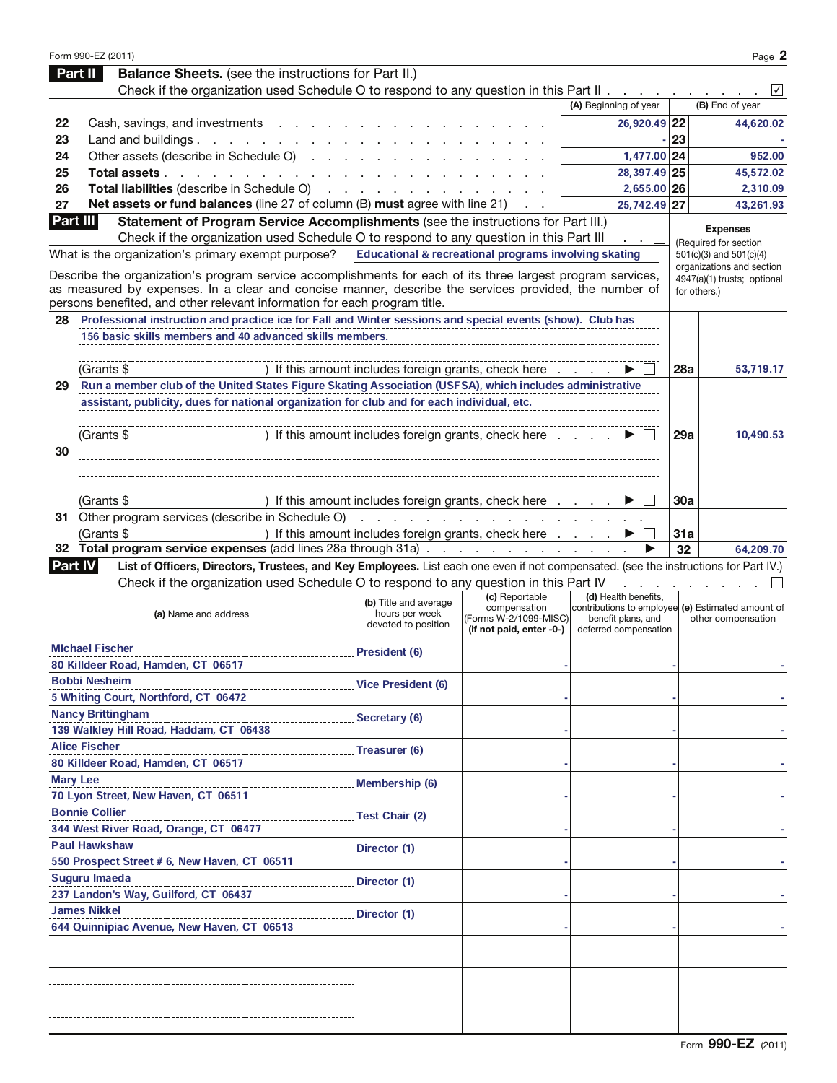|                | Form 990-EZ (2011)                                                                                                                   |                                                                  |                                        |                       |            | Page 2                                                                  |
|----------------|--------------------------------------------------------------------------------------------------------------------------------------|------------------------------------------------------------------|----------------------------------------|-----------------------|------------|-------------------------------------------------------------------------|
|                | <b>Balance Sheets.</b> (see the instructions for Part II.)<br>Part II                                                                |                                                                  |                                        |                       |            |                                                                         |
|                | Check if the organization used Schedule O to respond to any question in this Part II.                                                |                                                                  |                                        |                       |            | ∨                                                                       |
|                |                                                                                                                                      |                                                                  |                                        | (A) Beginning of year |            | (B) End of year                                                         |
| 22             | Cash, savings, and investments                                                                                                       |                                                                  |                                        | 26,920.49 22          |            | 44,620.02                                                               |
| 23             | Land and buildings.<br>and the company of the company of                                                                             |                                                                  |                                        |                       | 23         |                                                                         |
| 24             | Other assets (describe in Schedule O)                                                                                                |                                                                  |                                        | 1,477.00 24           |            | 952.00                                                                  |
| 25             | Total assets<br>and the control of the con-                                                                                          |                                                                  |                                        | 28,397.49 25          |            | 45,572.02                                                               |
| 26             | Total liabilities (describe in Schedule O)                                                                                           |                                                                  |                                        | 2,655.00 26           |            | 2,310.09                                                                |
| 27             | Net assets or fund balances (line 27 of column (B) must agree with line 21)                                                          |                                                                  |                                        | 25,742.49 27          |            | 43,261.93                                                               |
| Part III       | Statement of Program Service Accomplishments (see the instructions for Part III.)                                                    |                                                                  |                                        |                       |            | <b>Expenses</b>                                                         |
|                | Check if the organization used Schedule O to respond to any question in this Part III                                                |                                                                  |                                        |                       |            | (Required for section                                                   |
|                | What is the organization's primary exempt purpose?                                                                                   | <b>Educational &amp; recreational programs involving skating</b> |                                        |                       |            | 501(c)(3) and 501(c)(4)                                                 |
|                | Describe the organization's program service accomplishments for each of its three largest program services,                          |                                                                  |                                        |                       |            | organizations and section<br>4947(a)(1) trusts; optional                |
|                | as measured by expenses. In a clear and concise manner, describe the services provided, the number of                                |                                                                  |                                        |                       |            | for others.)                                                            |
|                | persons benefited, and other relevant information for each program title.                                                            |                                                                  |                                        |                       |            |                                                                         |
| 28             | Professional instruction and practice ice for Fall and Winter sessions and special events (show). Club has                           |                                                                  |                                        |                       |            |                                                                         |
|                | 156 basic skills members and 40 advanced skills members.                                                                             |                                                                  |                                        |                       |            |                                                                         |
|                |                                                                                                                                      |                                                                  |                                        |                       |            |                                                                         |
|                | (Grants \$                                                                                                                           | If this amount includes foreign grants, check here               |                                        |                       | 28a        | 53,719.17                                                               |
| 29             | Run a member club of the United States Figure Skating Association (USFSA), which includes administrative                             |                                                                  |                                        |                       |            |                                                                         |
|                | assistant, publicity, dues for national organization for club and for each individual, etc.                                          |                                                                  |                                        |                       |            |                                                                         |
|                |                                                                                                                                      |                                                                  |                                        |                       |            |                                                                         |
|                | (Grants \$                                                                                                                           | If this amount includes foreign grants, check here               |                                        |                       | 29a        | 10,490.53                                                               |
| 30             |                                                                                                                                      |                                                                  |                                        |                       |            |                                                                         |
|                |                                                                                                                                      |                                                                  |                                        |                       |            |                                                                         |
|                |                                                                                                                                      |                                                                  |                                        |                       |            |                                                                         |
|                | (Grants \$                                                                                                                           | If this amount includes foreign grants, check here               |                                        |                       | <b>30a</b> |                                                                         |
|                | 31 Other program services (describe in Schedule O)                                                                                   |                                                                  |                                        |                       |            |                                                                         |
|                | (Grants \$                                                                                                                           | ) If this amount includes foreign grants, check here             |                                        |                       | 31a        |                                                                         |
|                |                                                                                                                                      |                                                                  |                                        |                       |            |                                                                         |
| 32             | Total program service expenses (add lines 28a through 31a).                                                                          |                                                                  | design and a state of the state of the |                       | 32         | 64,209.70                                                               |
| <b>Part IV</b> | List of Officers, Directors, Trustees, and Key Employees. List each one even if not compensated. (see the instructions for Part IV.) |                                                                  |                                        |                       |            |                                                                         |
|                | Check if the organization used Schedule O to respond to any question in this Part IV                                                 |                                                                  |                                        |                       |            |                                                                         |
|                |                                                                                                                                      | (b) Title and average                                            | (c) Reportable                         | (d) Health benefits,  |            |                                                                         |
|                | (a) Name and address                                                                                                                 | hours per week                                                   | compensation<br>(Forms W-2/1099-MISC)  | benefit plans, and    |            | contributions to employee (e) Estimated amount of<br>other compensation |
|                |                                                                                                                                      | devoted to position                                              | (if not paid, enter -0-)               | deferred compensation |            |                                                                         |
|                | <b>MIchael Fischer</b>                                                                                                               | President (6)                                                    |                                        |                       |            |                                                                         |
|                | 80 Killdeer Road, Hamden, CT 06517                                                                                                   |                                                                  |                                        |                       |            |                                                                         |
|                | <b>Bobbi Nesheim</b>                                                                                                                 | <b>Vice President (6)</b>                                        |                                        |                       |            |                                                                         |
|                | 5 Whiting Court, Northford, CT 06472                                                                                                 |                                                                  |                                        |                       |            |                                                                         |
|                | <b>Nancy Brittingham</b>                                                                                                             | Secretary (6)                                                    |                                        |                       |            |                                                                         |
|                | 139 Walkley Hill Road, Haddam, CT 06438                                                                                              |                                                                  |                                        |                       |            |                                                                         |
|                | <b>Alice Fischer</b>                                                                                                                 | Treasurer (6)                                                    |                                        |                       |            |                                                                         |
|                | 80 Killdeer Road, Hamden, CT 06517                                                                                                   |                                                                  |                                        |                       |            |                                                                         |
|                | <b>Mary Lee</b>                                                                                                                      | <b>Membership (6)</b>                                            |                                        |                       |            |                                                                         |
|                | 70 Lyon Street, New Haven, CT 06511                                                                                                  |                                                                  |                                        |                       |            |                                                                         |
|                | <b>Bonnie Collier</b>                                                                                                                |                                                                  |                                        |                       |            |                                                                         |
|                | 344 West River Road, Orange, CT 06477                                                                                                | <b>Test Chair (2)</b>                                            |                                        |                       |            |                                                                         |
|                | <b>Paul Hawkshaw</b>                                                                                                                 |                                                                  |                                        |                       |            |                                                                         |
|                | 550 Prospect Street # 6, New Haven, CT 06511                                                                                         | Director (1)                                                     |                                        |                       |            |                                                                         |
|                | Suguru Imaeda                                                                                                                        | Director (1)                                                     |                                        |                       |            |                                                                         |
|                | 237 Landon's Way, Guilford, CT 06437                                                                                                 |                                                                  |                                        |                       |            |                                                                         |
|                | <b>James Nikkel</b>                                                                                                                  |                                                                  |                                        |                       |            |                                                                         |
|                | 644 Quinnipiac Avenue, New Haven, CT 06513                                                                                           | Director (1)                                                     |                                        |                       |            |                                                                         |
|                |                                                                                                                                      |                                                                  |                                        |                       |            |                                                                         |
|                |                                                                                                                                      |                                                                  |                                        |                       |            |                                                                         |
|                |                                                                                                                                      |                                                                  |                                        |                       |            |                                                                         |
|                |                                                                                                                                      |                                                                  |                                        |                       |            |                                                                         |
|                |                                                                                                                                      |                                                                  |                                        |                       |            |                                                                         |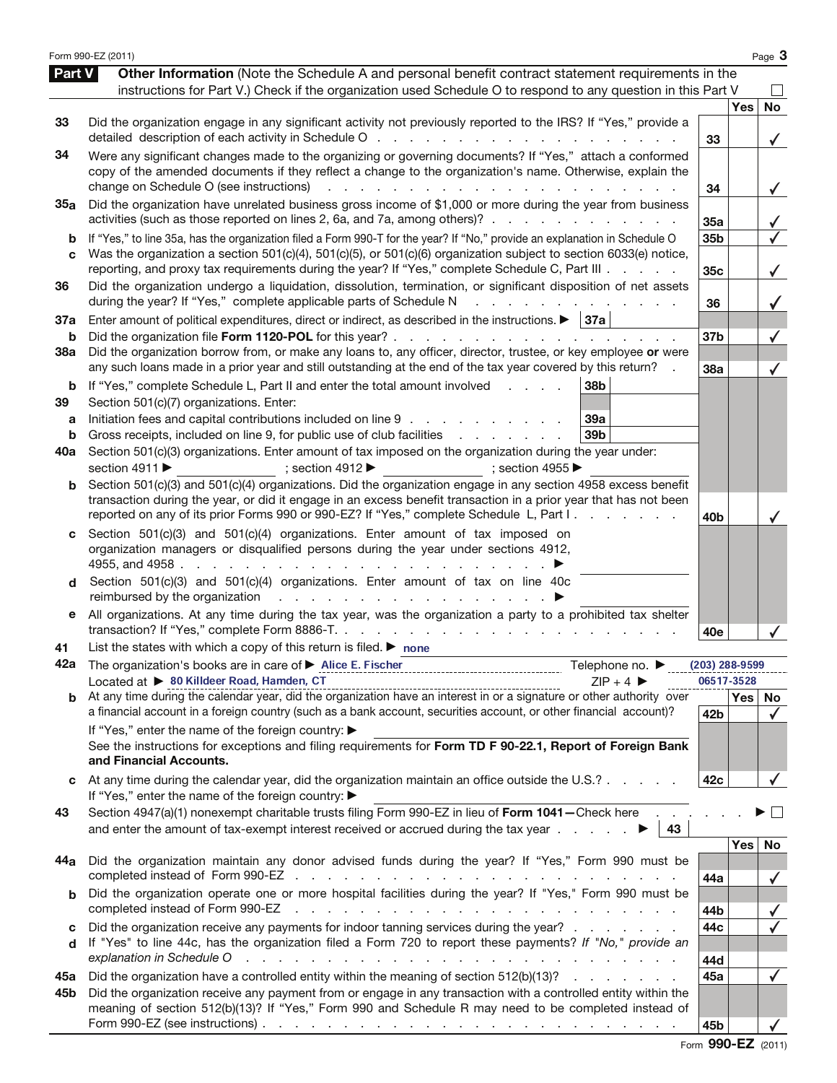|        | Form 990-EZ (2011)                                                                                                                                                                                                                                                                                               |                  |                  | Page 3       |
|--------|------------------------------------------------------------------------------------------------------------------------------------------------------------------------------------------------------------------------------------------------------------------------------------------------------------------|------------------|------------------|--------------|
| Part V | Other Information (Note the Schedule A and personal benefit contract statement requirements in the                                                                                                                                                                                                               |                  |                  |              |
|        | instructions for Part V.) Check if the organization used Schedule O to respond to any question in this Part V                                                                                                                                                                                                    |                  |                  |              |
|        |                                                                                                                                                                                                                                                                                                                  |                  | <b>Yes</b>       | <b>No</b>    |
| 33     | Did the organization engage in any significant activity not previously reported to the IRS? If "Yes," provide a<br>detailed description of each activity in Schedule O<br>and the state of the state of the                                                                                                      | 33               |                  | ✓            |
| 34     | Were any significant changes made to the organizing or governing documents? If "Yes," attach a conformed                                                                                                                                                                                                         |                  |                  |              |
|        | copy of the amended documents if they reflect a change to the organization's name. Otherwise, explain the                                                                                                                                                                                                        |                  |                  |              |
|        | change on Schedule O (see instructions)<br>and a series and a series and a series and<br>Did the organization have unrelated business gross income of \$1,000 or more during the year from business                                                                                                              | 34               |                  | $\checkmark$ |
| 35a    | activities (such as those reported on lines 2, 6a, and 7a, among others)?                                                                                                                                                                                                                                        | 35a              |                  |              |
| b      | If "Yes," to line 35a, has the organization filed a Form 990-T for the year? If "No," provide an explanation in Schedule O                                                                                                                                                                                       | 35b              |                  |              |
| C      | Was the organization a section 501(c)(4), 501(c)(5), or 501(c)(6) organization subject to section 6033(e) notice,                                                                                                                                                                                                |                  |                  |              |
|        | reporting, and proxy tax requirements during the year? If "Yes," complete Schedule C, Part III                                                                                                                                                                                                                   | 35c              |                  | $\checkmark$ |
| 36     | Did the organization undergo a liquidation, dissolution, termination, or significant disposition of net assets<br>during the year? If "Yes," complete applicable parts of Schedule N<br>and a state of the state of the state of the state of the state of the state of the state of the state of the            | 36               |                  |              |
| 37a    | Enter amount of political expenditures, direct or indirect, as described in the instructions. $\blacktriangleright$   37a                                                                                                                                                                                        |                  |                  |              |
| b      | Did the organization file Form 1120-POL for this year?                                                                                                                                                                                                                                                           | 37b              |                  |              |
| 38a    | Did the organization borrow from, or make any loans to, any officer, director, trustee, or key employee or were<br>any such loans made in a prior year and still outstanding at the end of the tax year covered by this return?                                                                                  | 38a              |                  |              |
| b      | 38b<br>If "Yes," complete Schedule L, Part II and enter the total amount involved<br><b>Contract Contract Contract</b>                                                                                                                                                                                           |                  |                  |              |
| 39     | Section 501(c)(7) organizations. Enter:                                                                                                                                                                                                                                                                          |                  |                  |              |
| a<br>b | Initiation fees and capital contributions included on line 9<br>39a<br>39 <sub>b</sub><br>Gross receipts, included on line 9, for public use of club facilities                                                                                                                                                  |                  |                  |              |
| 40a    | Section 501(c)(3) organizations. Enter amount of tax imposed on the organization during the year under:                                                                                                                                                                                                          |                  |                  |              |
|        | section 4911 ▶<br>; section 4912 $\blacktriangleright$<br>; section 4955                                                                                                                                                                                                                                         |                  |                  |              |
| b      | Section 501(c)(3) and 501(c)(4) organizations. Did the organization engage in any section 4958 excess benefit                                                                                                                                                                                                    |                  |                  |              |
|        | transaction during the year, or did it engage in an excess benefit transaction in a prior year that has not been                                                                                                                                                                                                 |                  |                  |              |
|        | reported on any of its prior Forms 990 or 990-EZ? If "Yes," complete Schedule L, Part I.                                                                                                                                                                                                                         | 40 <sub>b</sub>  |                  |              |
| c      | Section 501(c)(3) and 501(c)(4) organizations. Enter amount of tax imposed on<br>organization managers or disqualified persons during the year under sections 4912,                                                                                                                                              |                  |                  |              |
|        | 4955, and 4958 $\cdot \cdot \cdot \cdot \cdot \cdot \cdot \cdot \cdot$<br>the contract of the contract of the con-                                                                                                                                                                                               |                  |                  |              |
| d      | Section 501(c)(3) and 501(c)(4) organizations. Enter amount of tax on line 40c<br>reimbursed by the organization response to response the contract of the contract of the contract of the contract of the contract of the contract of the contract of the contract of the contract of the contract of the contra |                  |                  |              |
| е      | All organizations. At any time during the tax year, was the organization a party to a prohibited tax shelter                                                                                                                                                                                                     | 40e              |                  |              |
| 41     | List the states with which a copy of this return is filed. $\blacktriangleright$ none                                                                                                                                                                                                                            |                  |                  |              |
| 42a    | Telephone no. ▶                                                                                                                                                                                                                                                                                                  | $(203)$ 288-9599 |                  |              |
|        | Located at > 80 Killdeer Road, Hamden, CT<br>$7IP + 4$                                                                                                                                                                                                                                                           | 06517-3528       |                  |              |
| b      | $\frac{100}{4}$ at $\rightarrow$ our mindeer road, Hammeri, L1.<br>At any time during the calendar year, did the organization have an interest in or a signature or other authority over                                                                                                                         |                  | Yes <sub>1</sub> | No           |
|        | a financial account in a foreign country (such as a bank account, securities account, or other financial account)?                                                                                                                                                                                               | 42b              |                  | $\checkmark$ |
|        | If "Yes," enter the name of the foreign country: ▶<br>See the instructions for exceptions and filing requirements for Form TD F 90-22.1, Report of Foreign Bank                                                                                                                                                  |                  |                  |              |
|        | and Financial Accounts.                                                                                                                                                                                                                                                                                          |                  |                  |              |
| c      | At any time during the calendar year, did the organization maintain an office outside the U.S.?                                                                                                                                                                                                                  | 42c              |                  |              |
|        | If "Yes," enter the name of the foreign country: ▶                                                                                                                                                                                                                                                               |                  |                  |              |
| 43     | Section 4947(a)(1) nonexempt charitable trusts filing Form 990-EZ in lieu of Form 1041 - Check here<br>and enter the amount of tax-exempt interest received or accrued during the tax year $\ldots$<br>43                                                                                                        |                  |                  |              |
|        |                                                                                                                                                                                                                                                                                                                  |                  | <b>Yes</b>       | No           |
| 44a    | Did the organization maintain any donor advised funds during the year? If "Yes," Form 990 must be                                                                                                                                                                                                                | 44a              |                  | $\checkmark$ |
| b      | Did the organization operate one or more hospital facilities during the year? If "Yes," Form 990 must be                                                                                                                                                                                                         |                  |                  |              |
|        | completed instead of Form 990-EZ<br>والمتعاون والمتعاون والمتعاون والمتعاون والمتعاون والمتعاون والمتعاون والمتعاون                                                                                                                                                                                              | 44b              |                  |              |
| c      | Did the organization receive any payments for indoor tanning services during the year?                                                                                                                                                                                                                           | 44c              |                  |              |
| d      | If "Yes" to line 44c, has the organization filed a Form 720 to report these payments? If "No," provide an<br>explanation in Schedule O<br>de la caractería de la caractería de la caractería de la caractería de                                                                                                 |                  |                  |              |
| 45а    | Did the organization have a controlled entity within the meaning of section 512(b)(13)?                                                                                                                                                                                                                          | 44d<br>45a       |                  | $\checkmark$ |
| 45b    | Did the organization receive any payment from or engage in any transaction with a controlled entity within the                                                                                                                                                                                                   |                  |                  |              |
|        | meaning of section 512(b)(13)? If "Yes," Form 990 and Schedule R may need to be completed instead of                                                                                                                                                                                                             | 45b              |                  |              |
|        |                                                                                                                                                                                                                                                                                                                  |                  |                  |              |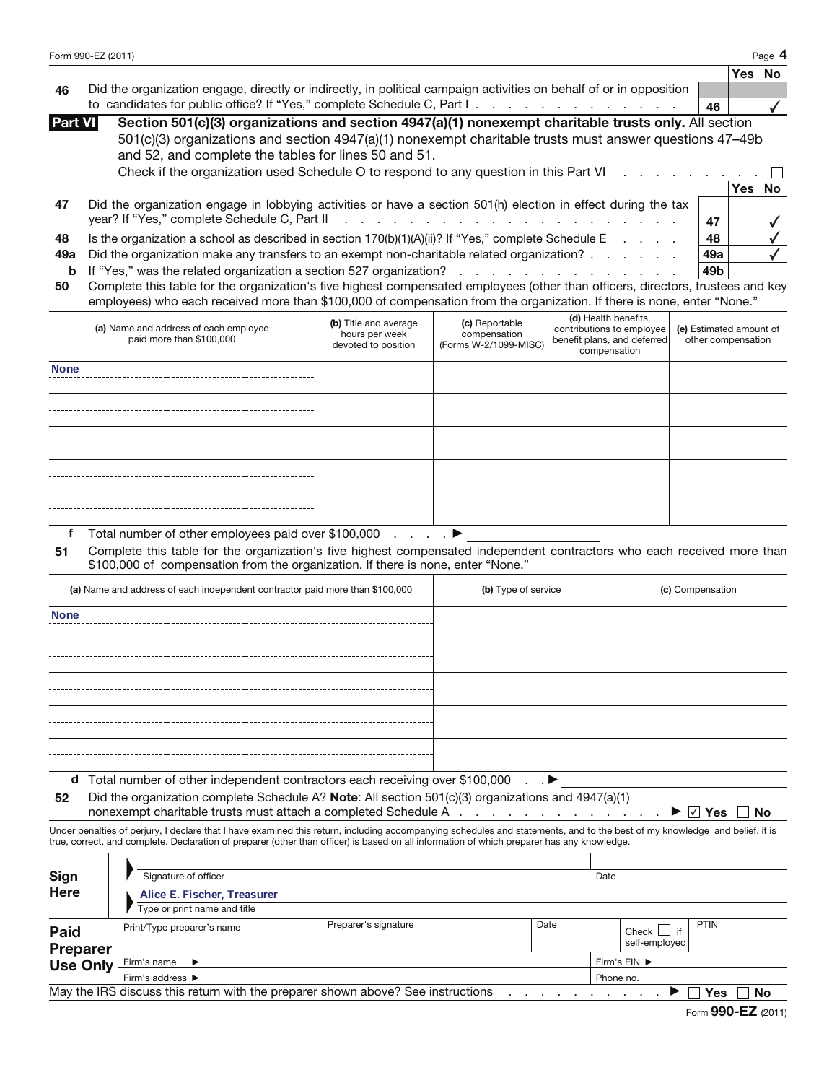|                                            | Form 990-EZ (2011) |                                                                                                                                                                                                                                                                                                                                                    |                                         |                                   |                                     |                                             |                         |                    | Page 4    |
|--------------------------------------------|--------------------|----------------------------------------------------------------------------------------------------------------------------------------------------------------------------------------------------------------------------------------------------------------------------------------------------------------------------------------------------|-----------------------------------------|-----------------------------------|-------------------------------------|---------------------------------------------|-------------------------|--------------------|-----------|
|                                            |                    |                                                                                                                                                                                                                                                                                                                                                    |                                         |                                   |                                     |                                             |                         | Yes⊺               | <b>No</b> |
| 46                                         |                    | Did the organization engage, directly or indirectly, in political campaign activities on behalf of or in opposition                                                                                                                                                                                                                                |                                         |                                   |                                     |                                             |                         |                    |           |
|                                            |                    | to candidates for public office? If "Yes," complete Schedule C, Part I.                                                                                                                                                                                                                                                                            |                                         |                                   |                                     |                                             | 46                      |                    |           |
| <b>Part VI</b>                             |                    | Section 501(c)(3) organizations and section 4947(a)(1) nonexempt charitable trusts only. All section                                                                                                                                                                                                                                               |                                         |                                   |                                     |                                             |                         |                    |           |
|                                            |                    | 501(c)(3) organizations and section 4947(a)(1) nonexempt charitable trusts must answer questions 47-49b                                                                                                                                                                                                                                            |                                         |                                   |                                     |                                             |                         |                    |           |
|                                            |                    | and 52, and complete the tables for lines 50 and 51.                                                                                                                                                                                                                                                                                               |                                         |                                   |                                     |                                             |                         |                    |           |
|                                            |                    | Check if the organization used Schedule O to respond to any question in this Part VI                                                                                                                                                                                                                                                               |                                         |                                   |                                     |                                             |                         |                    |           |
|                                            |                    |                                                                                                                                                                                                                                                                                                                                                    |                                         |                                   |                                     |                                             |                         | <b>Yes</b>         | <b>No</b> |
| 47                                         |                    | Did the organization engage in lobbying activities or have a section 501(h) election in effect during the tax<br>year? If "Yes," complete Schedule C, Part II                                                                                                                                                                                      |                                         |                                   |                                     |                                             |                         |                    |           |
|                                            |                    |                                                                                                                                                                                                                                                                                                                                                    |                                         | <b>Contract Contract Contract</b> |                                     |                                             | 47                      |                    |           |
| 48                                         |                    | Is the organization a school as described in section $170(b)(1)(A)(ii)$ ? If "Yes," complete Schedule E                                                                                                                                                                                                                                            |                                         |                                   |                                     |                                             | 48                      |                    |           |
| 49a                                        |                    | Did the organization make any transfers to an exempt non-charitable related organization?                                                                                                                                                                                                                                                          |                                         |                                   |                                     |                                             | 49a                     |                    |           |
| b                                          |                    | If "Yes," was the related organization a section 527 organization?<br>Complete this table for the organization's five highest compensated employees (other than officers, directors, trustees and key                                                                                                                                              |                                         |                                   |                                     |                                             | 49 <sub>b</sub>         |                    |           |
| 50                                         |                    | employees) who each received more than \$100,000 of compensation from the organization. If there is none, enter "None."                                                                                                                                                                                                                            |                                         |                                   |                                     |                                             |                         |                    |           |
|                                            |                    |                                                                                                                                                                                                                                                                                                                                                    |                                         |                                   |                                     | (d) Health benefits,                        |                         |                    |           |
|                                            |                    | (a) Name and address of each employee                                                                                                                                                                                                                                                                                                              | (b) Title and average<br>hours per week | (c) Reportable<br>compensation    |                                     | contributions to employee                   | (e) Estimated amount of |                    |           |
|                                            |                    | paid more than \$100,000                                                                                                                                                                                                                                                                                                                           | devoted to position                     | (Forms W-2/1099-MISC)             |                                     | benefit plans, and deferred<br>compensation |                         | other compensation |           |
|                                            |                    |                                                                                                                                                                                                                                                                                                                                                    |                                         |                                   |                                     |                                             |                         |                    |           |
| <b>None</b>                                |                    |                                                                                                                                                                                                                                                                                                                                                    |                                         |                                   |                                     |                                             |                         |                    |           |
|                                            |                    |                                                                                                                                                                                                                                                                                                                                                    |                                         |                                   |                                     |                                             |                         |                    |           |
|                                            |                    |                                                                                                                                                                                                                                                                                                                                                    |                                         |                                   |                                     |                                             |                         |                    |           |
|                                            |                    |                                                                                                                                                                                                                                                                                                                                                    |                                         |                                   |                                     |                                             |                         |                    |           |
|                                            |                    |                                                                                                                                                                                                                                                                                                                                                    |                                         |                                   |                                     |                                             |                         |                    |           |
|                                            |                    |                                                                                                                                                                                                                                                                                                                                                    |                                         |                                   |                                     |                                             |                         |                    |           |
|                                            |                    |                                                                                                                                                                                                                                                                                                                                                    |                                         |                                   |                                     |                                             |                         |                    |           |
|                                            |                    |                                                                                                                                                                                                                                                                                                                                                    |                                         |                                   |                                     |                                             |                         |                    |           |
|                                            |                    |                                                                                                                                                                                                                                                                                                                                                    |                                         |                                   |                                     |                                             |                         |                    |           |
| f<br>51                                    |                    | Total number of other employees paid over \$100,000<br>Complete this table for the organization's five highest compensated independent contractors who each received more than<br>\$100,000 of compensation from the organization. If there is none, enter "None."<br>(a) Name and address of each independent contractor paid more than \$100,000 | and a state                             | (b) Type of service               |                                     |                                             | (c) Compensation        |                    |           |
|                                            |                    |                                                                                                                                                                                                                                                                                                                                                    |                                         |                                   |                                     |                                             |                         |                    |           |
| <b>None</b>                                |                    |                                                                                                                                                                                                                                                                                                                                                    |                                         |                                   |                                     |                                             |                         |                    |           |
|                                            |                    |                                                                                                                                                                                                                                                                                                                                                    |                                         |                                   |                                     |                                             |                         |                    |           |
|                                            |                    |                                                                                                                                                                                                                                                                                                                                                    |                                         |                                   |                                     |                                             |                         |                    |           |
|                                            |                    |                                                                                                                                                                                                                                                                                                                                                    |                                         |                                   |                                     |                                             |                         |                    |           |
|                                            |                    |                                                                                                                                                                                                                                                                                                                                                    |                                         |                                   |                                     |                                             |                         |                    |           |
|                                            |                    |                                                                                                                                                                                                                                                                                                                                                    |                                         |                                   |                                     |                                             |                         |                    |           |
|                                            |                    |                                                                                                                                                                                                                                                                                                                                                    |                                         |                                   |                                     |                                             |                         |                    |           |
|                                            |                    |                                                                                                                                                                                                                                                                                                                                                    |                                         |                                   |                                     |                                             |                         |                    |           |
|                                            |                    |                                                                                                                                                                                                                                                                                                                                                    |                                         |                                   |                                     |                                             |                         |                    |           |
| d                                          |                    | Total number of other independent contractors each receiving over \$100,000                                                                                                                                                                                                                                                                        |                                         |                                   |                                     |                                             |                         |                    |           |
| 52                                         |                    | Did the organization complete Schedule A? Note: All section 501(c)(3) organizations and 4947(a)(1)                                                                                                                                                                                                                                                 |                                         |                                   |                                     |                                             |                         |                    |           |
|                                            |                    | nonexempt charitable trusts must attach a completed Schedule A                                                                                                                                                                                                                                                                                     |                                         |                                   | the contract of the contract of the |                                             | ∣√∣ Yes                 |                    | No        |
|                                            |                    | Under penalties of perjury, I declare that I have examined this return, including accompanying schedules and statements, and to the best of my knowledge and belief, it is<br>true, correct, and complete. Declaration of preparer (other than officer) is based on all information of which preparer has any knowledge.                           |                                         |                                   |                                     |                                             |                         |                    |           |
|                                            |                    |                                                                                                                                                                                                                                                                                                                                                    |                                         |                                   |                                     |                                             |                         |                    |           |
| Sign                                       |                    | Signature of officer                                                                                                                                                                                                                                                                                                                               |                                         |                                   | Date                                |                                             |                         |                    |           |
| Here                                       |                    | Alice E. Fischer, Treasurer                                                                                                                                                                                                                                                                                                                        |                                         |                                   |                                     |                                             |                         |                    |           |
|                                            |                    | Type or print name and title                                                                                                                                                                                                                                                                                                                       |                                         |                                   |                                     |                                             |                         |                    |           |
|                                            |                    |                                                                                                                                                                                                                                                                                                                                                    |                                         |                                   |                                     |                                             |                         |                    |           |
|                                            |                    | Print/Type preparer's name                                                                                                                                                                                                                                                                                                                         | Preparer's signature                    |                                   | Date                                | Check $\Box$                                | <b>PTIN</b><br>if       |                    |           |
|                                            |                    |                                                                                                                                                                                                                                                                                                                                                    |                                         |                                   |                                     | self-employed                               |                         |                    |           |
|                                            |                    | Firm's name                                                                                                                                                                                                                                                                                                                                        |                                         |                                   |                                     | Firm's EIN ▶                                |                         |                    |           |
| Paid<br><b>Preparer</b><br><b>Use Only</b> |                    | Firm's address ▶<br>May the IRS discuss this return with the preparer shown above? See instructions                                                                                                                                                                                                                                                |                                         |                                   |                                     | Phone no.                                   |                         | Yes                | No        |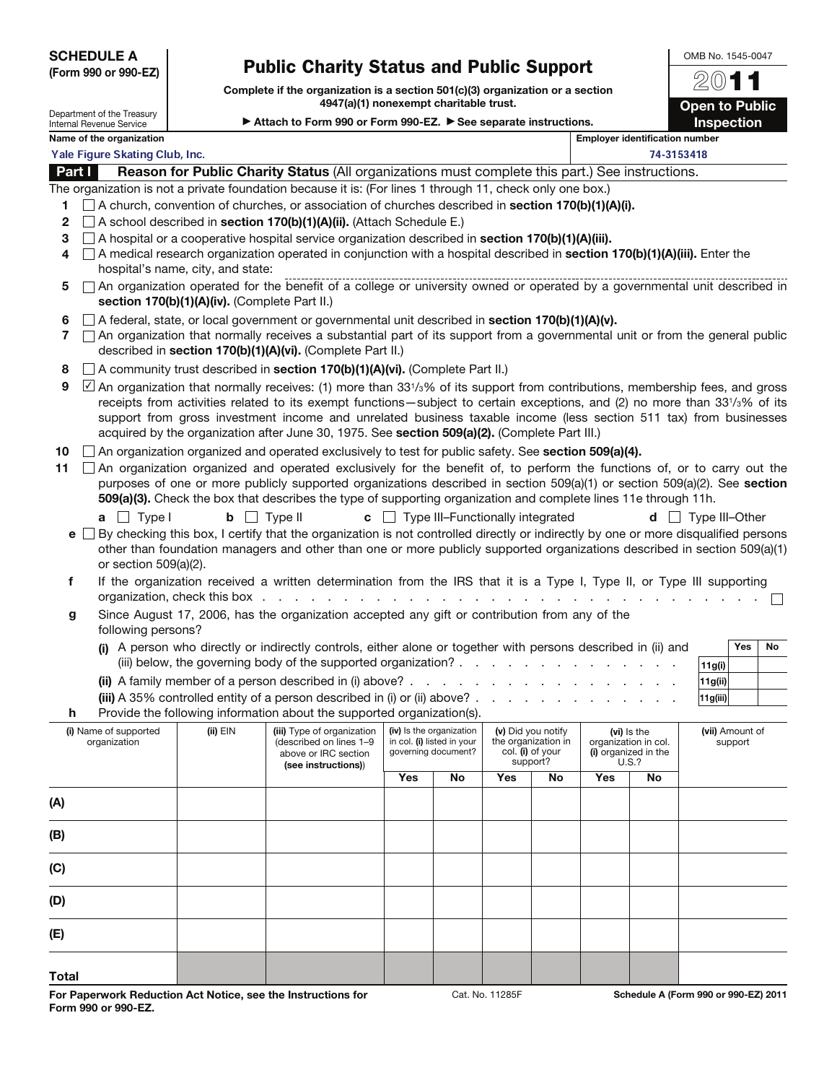SCHEDULE A (Form 990 or 990-EZ)

## Public Charity Status and Public Support

Complete if the organization is a section 501(c)(3) organization or a section 4947(a)(1) nonexempt charitable trust.

OMB No. 1545-0047 2011 **Open to Public** Inspection

Department of the Treasury Internal Revenue Service

Attach to Form 990 or Form 990-EZ.  $\triangleright$  See separate instructions.

|             | Name of the organization              |                                               |                                                                                                                                                                                                                                                                                                                                                                                                                                                                                                    |                                                      |                                                   |            |                                                                           |     | <b>Employer identification number</b>                                |                            |
|-------------|---------------------------------------|-----------------------------------------------|----------------------------------------------------------------------------------------------------------------------------------------------------------------------------------------------------------------------------------------------------------------------------------------------------------------------------------------------------------------------------------------------------------------------------------------------------------------------------------------------------|------------------------------------------------------|---------------------------------------------------|------------|---------------------------------------------------------------------------|-----|----------------------------------------------------------------------|----------------------------|
|             | Yale Figure Skating Club, Inc.        |                                               |                                                                                                                                                                                                                                                                                                                                                                                                                                                                                                    |                                                      |                                                   |            |                                                                           |     | 74-3153418                                                           |                            |
|             | Part I                                |                                               | Reason for Public Charity Status (All organizations must complete this part.) See instructions.                                                                                                                                                                                                                                                                                                                                                                                                    |                                                      |                                                   |            |                                                                           |     |                                                                      |                            |
| 1<br>2<br>3 |                                       |                                               | The organization is not a private foundation because it is: (For lines 1 through 11, check only one box.)<br>$\Box$ A church, convention of churches, or association of churches described in <b>section 170(b)(1)(A)(i).</b><br>$\Box$ A school described in section 170(b)(1)(A)(ii). (Attach Schedule E.)<br>$\Box$ A hospital or a cooperative hospital service organization described in <b>section 170(b)(1)(A)(iii).</b>                                                                    |                                                      |                                                   |            |                                                                           |     |                                                                      |                            |
| 4           |                                       | hospital's name, city, and state:             | A medical research organization operated in conjunction with a hospital described in section 170(b)(1)(A)(iii). Enter the                                                                                                                                                                                                                                                                                                                                                                          |                                                      |                                                   |            |                                                                           |     |                                                                      |                            |
| 5           |                                       | section 170(b)(1)(A)(iv). (Complete Part II.) | An organization operated for the benefit of a college or university owned or operated by a governmental unit described in                                                                                                                                                                                                                                                                                                                                                                          |                                                      |                                                   |            |                                                                           |     |                                                                      |                            |
| 6<br>7      |                                       |                                               | A federal, state, or local government or governmental unit described in section 170(b)(1)(A)(v).<br>An organization that normally receives a substantial part of its support from a governmental unit or from the general public<br>described in section 170(b)(1)(A)(vi). (Complete Part II.)                                                                                                                                                                                                     |                                                      |                                                   |            |                                                                           |     |                                                                      |                            |
| 8           |                                       |                                               | A community trust described in section 170(b)(1)(A)(vi). (Complete Part II.)                                                                                                                                                                                                                                                                                                                                                                                                                       |                                                      |                                                   |            |                                                                           |     |                                                                      |                            |
| 9           |                                       |                                               | $\Box$ An organization that normally receives: (1) more than 331/ <sub>3</sub> % of its support from contributions, membership fees, and gross<br>receipts from activities related to its exempt functions—subject to certain exceptions, and (2) no more than 331/3% of its<br>support from gross investment income and unrelated business taxable income (less section 511 tax) from businesses<br>acquired by the organization after June 30, 1975. See section 509(a)(2). (Complete Part III.) |                                                      |                                                   |            |                                                                           |     |                                                                      |                            |
| 10          |                                       |                                               | An organization organized and operated exclusively to test for public safety. See section 509(a)(4).                                                                                                                                                                                                                                                                                                                                                                                               |                                                      |                                                   |            |                                                                           |     |                                                                      |                            |
| 11          |                                       |                                               | An organization organized and operated exclusively for the benefit of, to perform the functions of, or to carry out the<br>purposes of one or more publicly supported organizations described in section 509(a)(1) or section 509(a)(2). See section<br>509(a)(3). Check the box that describes the type of supporting organization and complete lines 11e through 11h.                                                                                                                            |                                                      |                                                   |            |                                                                           |     |                                                                      |                            |
|             | $a \Box$ Type I                       | <b>b</b> $\Box$ Type II                       |                                                                                                                                                                                                                                                                                                                                                                                                                                                                                                    | $\mathbf{c}$ $\Box$ Type III-Functionally integrated |                                                   |            |                                                                           |     |                                                                      | $d$   Type III-Other       |
|             | or section 509(a)(2).                 |                                               | $\mathbf{e}$ $\Box$ By checking this box, I certify that the organization is not controlled directly or indirectly by one or more disqualified persons<br>other than foundation managers and other than one or more publicly supported organizations described in section 509(a)(1)                                                                                                                                                                                                                |                                                      |                                                   |            |                                                                           |     |                                                                      |                            |
| f           |                                       | organization, check this box                  | If the organization received a written determination from the IRS that it is a Type I, Type II, or Type III supporting<br><b>Contract Contract</b>                                                                                                                                                                                                                                                                                                                                                 | and the company of the company                       |                                                   |            |                                                                           |     |                                                                      |                            |
| g           | following persons?                    |                                               | Since August 17, 2006, has the organization accepted any gift or contribution from any of the                                                                                                                                                                                                                                                                                                                                                                                                      |                                                      |                                                   |            |                                                                           |     |                                                                      |                            |
|             |                                       |                                               | (i) A person who directly or indirectly controls, either alone or together with persons described in (ii) and                                                                                                                                                                                                                                                                                                                                                                                      |                                                      |                                                   |            |                                                                           |     |                                                                      | Yes<br>No<br>11g(i)        |
|             |                                       |                                               |                                                                                                                                                                                                                                                                                                                                                                                                                                                                                                    |                                                      |                                                   |            |                                                                           |     |                                                                      | 11g(ii)                    |
|             |                                       |                                               |                                                                                                                                                                                                                                                                                                                                                                                                                                                                                                    |                                                      |                                                   |            |                                                                           |     |                                                                      | 11g(iii)                   |
| h           |                                       |                                               | Provide the following information about the supported organization(s).                                                                                                                                                                                                                                                                                                                                                                                                                             |                                                      |                                                   |            |                                                                           |     |                                                                      |                            |
|             | (i) Name of supported<br>organization | $(ii)$ $EIN$                                  | (iii) Type of organization<br>(described on lines 1-9<br>above or IRC section<br>(see instructions))                                                                                                                                                                                                                                                                                                                                                                                               | (iv) Is the organization                             | in col. (i) listed in your<br>governing document? |            | (v) Did you notify<br>the organization in<br>col. (i) of your<br>support? |     | (vi) is the<br>organization in col.<br>(i) organized in the<br>U.S.? | (vii) Amount of<br>support |
|             |                                       |                                               |                                                                                                                                                                                                                                                                                                                                                                                                                                                                                                    | Yes                                                  | No                                                | <b>Yes</b> | No                                                                        | Yes | <b>No</b>                                                            |                            |
| (A)         |                                       |                                               |                                                                                                                                                                                                                                                                                                                                                                                                                                                                                                    |                                                      |                                                   |            |                                                                           |     |                                                                      |                            |
| (B)         |                                       |                                               |                                                                                                                                                                                                                                                                                                                                                                                                                                                                                                    |                                                      |                                                   |            |                                                                           |     |                                                                      |                            |
| (C)         |                                       |                                               |                                                                                                                                                                                                                                                                                                                                                                                                                                                                                                    |                                                      |                                                   |            |                                                                           |     |                                                                      |                            |
| (D)         |                                       |                                               |                                                                                                                                                                                                                                                                                                                                                                                                                                                                                                    |                                                      |                                                   |            |                                                                           |     |                                                                      |                            |
| (E)         |                                       |                                               |                                                                                                                                                                                                                                                                                                                                                                                                                                                                                                    |                                                      |                                                   |            |                                                                           |     |                                                                      |                            |
| Total       |                                       |                                               |                                                                                                                                                                                                                                                                                                                                                                                                                                                                                                    |                                                      |                                                   |            |                                                                           |     |                                                                      |                            |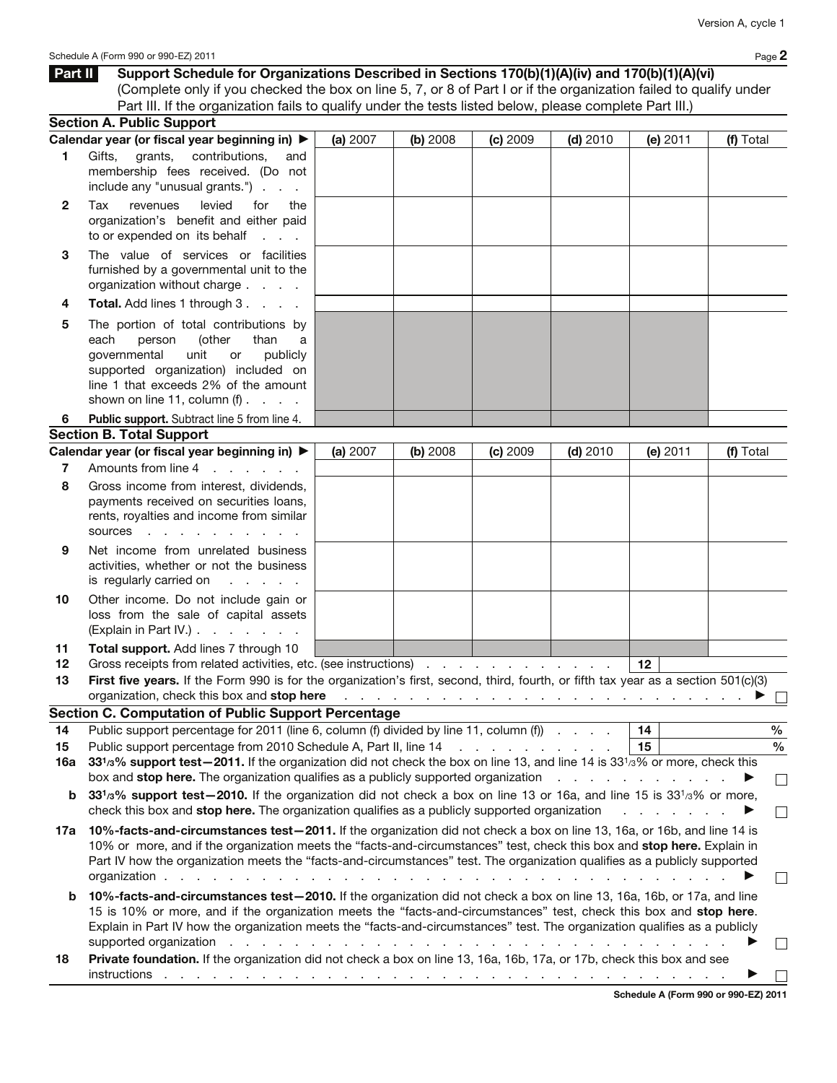|                | Schedule A (Form 990 or 990-EZ) 2011                                                                                                          |          |          |          |            |                                                                             | Page 2        |
|----------------|-----------------------------------------------------------------------------------------------------------------------------------------------|----------|----------|----------|------------|-----------------------------------------------------------------------------|---------------|
| Part II        | Support Schedule for Organizations Described in Sections 170(b)(1)(A)(iv) and 170(b)(1)(A)(vi)                                                |          |          |          |            |                                                                             |               |
|                | (Complete only if you checked the box on line 5, 7, or 8 of Part I or if the organization failed to qualify under                             |          |          |          |            |                                                                             |               |
|                | Part III. If the organization fails to qualify under the tests listed below, please complete Part III.)                                       |          |          |          |            |                                                                             |               |
|                | <b>Section A. Public Support</b>                                                                                                              |          |          |          |            |                                                                             |               |
|                | Calendar year (or fiscal year beginning in) ▶                                                                                                 | (a) 2007 | (b) 2008 | (c) 2009 | $(d)$ 2010 | (e) 2011                                                                    | (f) Total     |
| 1.             | Gifts, grants, contributions,<br>and                                                                                                          |          |          |          |            |                                                                             |               |
|                | membership fees received. (Do not<br>include any "unusual grants.")                                                                           |          |          |          |            |                                                                             |               |
| $\mathbf{2}$   | levied<br>Tax<br>revenues<br>for<br>the<br>organization's benefit and either paid<br>to or expended on its behalf                             |          |          |          |            |                                                                             |               |
| 3              | The value of services or facilities<br>furnished by a governmental unit to the<br>organization without charge                                 |          |          |          |            |                                                                             |               |
| 4              | <b>Total.</b> Add lines 1 through 3                                                                                                           |          |          |          |            |                                                                             |               |
| 5              | The portion of total contributions by                                                                                                         |          |          |          |            |                                                                             |               |
|                | each<br>person<br>(other<br>than<br>a                                                                                                         |          |          |          |            |                                                                             |               |
|                | governmental<br>unit<br>publicly<br>or                                                                                                        |          |          |          |            |                                                                             |               |
|                | supported organization) included on                                                                                                           |          |          |          |            |                                                                             |               |
|                | line 1 that exceeds 2% of the amount<br>shown on line 11, column $(f)$ .                                                                      |          |          |          |            |                                                                             |               |
| 6              | Public support. Subtract line 5 from line 4.                                                                                                  |          |          |          |            |                                                                             |               |
|                | <b>Section B. Total Support</b>                                                                                                               |          |          |          |            |                                                                             |               |
|                | Calendar year (or fiscal year beginning in) ▶                                                                                                 | (a) 2007 | (b) 2008 | (c) 2009 | $(d)$ 2010 | (e) $2011$                                                                  | (f) Total     |
| $\overline{7}$ | Amounts from line 4                                                                                                                           |          |          |          |            |                                                                             |               |
| 8              | Gross income from interest, dividends,                                                                                                        |          |          |          |            |                                                                             |               |
|                | payments received on securities loans,                                                                                                        |          |          |          |            |                                                                             |               |
|                | rents, royalties and income from similar                                                                                                      |          |          |          |            |                                                                             |               |
|                | sources                                                                                                                                       |          |          |          |            |                                                                             |               |
| 9              | Net income from unrelated business                                                                                                            |          |          |          |            |                                                                             |               |
|                | activities, whether or not the business                                                                                                       |          |          |          |            |                                                                             |               |
|                | is regularly carried on<br><b>Carl Contractor</b>                                                                                             |          |          |          |            |                                                                             |               |
| 10             | Other income. Do not include gain or                                                                                                          |          |          |          |            |                                                                             |               |
|                | loss from the sale of capital assets<br>(Explain in Part IV.)                                                                                 |          |          |          |            |                                                                             |               |
|                |                                                                                                                                               |          |          |          |            |                                                                             |               |
| 11<br>12       | Total support. Add lines 7 through 10<br>Gross receipts from related activities, etc. (see instructions)                                      |          |          |          |            | $\vert$ 12 $\vert$                                                          |               |
| 13             | First five years. If the Form 990 is for the organization's first, second, third, fourth, or fifth tax year as a section 501(c)(3)            |          |          |          |            |                                                                             |               |
|                | organization, check this box and stop here                                                                                                    |          |          |          |            | المتعاونة والمتعاونة والمتعاونة والمتعاونة والمتعاونة والمتعاونة والمتعاونة |               |
|                | <b>Section C. Computation of Public Support Percentage</b>                                                                                    |          |          |          |            |                                                                             |               |
| 14             | Public support percentage for 2011 (line 6, column (f) divided by line 11, column (f)                                                         |          |          |          |            | 14                                                                          | $\frac{0}{0}$ |
| 15             | Public support percentage from 2010 Schedule A, Part II, line 14                                                                              |          |          |          |            | 15                                                                          | $\%$          |
| 16a            | 331/3% support test-2011. If the organization did not check the box on line 13, and line 14 is 33 <sup>1</sup> /3% or more, check this        |          |          |          |            |                                                                             |               |
|                | box and <b>stop here.</b> The organization qualifies as a publicly supported organization                                                     |          |          |          |            |                                                                             | ▶             |
| b              | 33 <sup>1</sup> /3% support test-2010. If the organization did not check a box on line 13 or 16a, and line 15 is 33 <sup>1</sup> /3% or more, |          |          |          |            |                                                                             |               |
|                | check this box and stop here. The organization qualifies as a publicly supported organization                                                 |          |          |          |            | the contract of the contract of the                                         |               |
|                | 10% facts and give unctanges test. 2011 If the examization did not check a bey on line 12, 16e, or 16b, and line 14 is                        |          |          |          |            |                                                                             |               |

- 17a 10%-facts-and-circumstances test-2011. If the organization did not check a box on line 13, 16a, or 16b, and line 14 is 10% or more, and if the organization meets the "facts-and-circumstances" test, check this box and stop here. Explain in Part IV how the organization meets the "facts-and-circumstances" test. The organization qualifies as a publicly supported organization . . . . . . . . . . . . . . . . . . . . . . . . . . . . . . . . . . . a  $\Box$
- b 10%-facts-and-circumstances test—2010. If the organization did not check a box on line 13, 16a, 16b, or 17a, and line 15 is 10% or more, and if the organization meets the "facts-and-circumstances" test, check this box and stop here. Explain in Part IV how the organization meets the "facts-and-circumstances" test. The organization qualifies as a publicly supported organization . . . . . . . . . . . . . . . . . . . . . . . . . . . . . . . a  $\Box$
- 18 Private foundation. If the organization did not check a box on line 13, 16a, 16b, 17a, or 17b, check this box and see instructions . . . . . . . . . . . . . . . . . . . . . . . . . . . . . . . . . . . a  $\Box$

Schedule A (Form 990 or 990-EZ) 2011

 $\Box$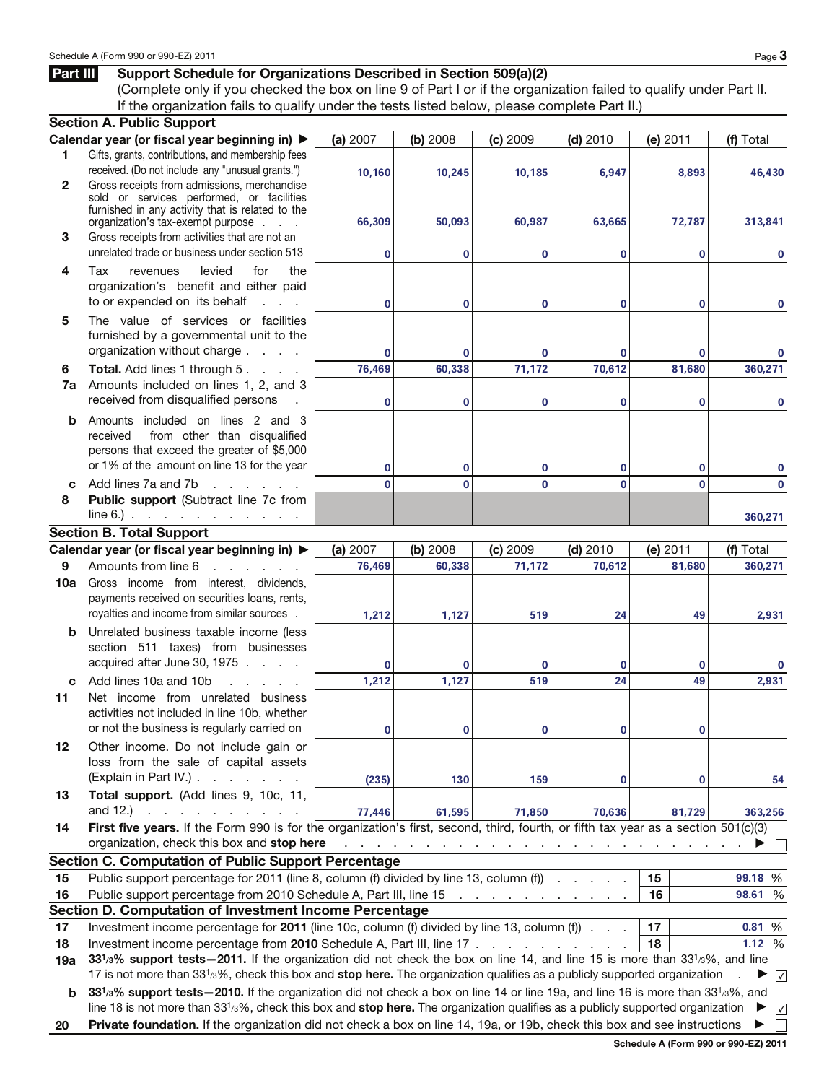## Part III Support Schedule for Organizations Described in Section 509(a)(2)

(Complete only if you checked the box on line 9 of Part I or if the organization failed to qualify under Part II. If the organization fails to qualify under the tests listed below, please complete Part II.)

|              | <b>Section A. Public Support</b>                                                                                                                                                                                                                                                 |                |              |                                                                                 |             |              |                 |
|--------------|----------------------------------------------------------------------------------------------------------------------------------------------------------------------------------------------------------------------------------------------------------------------------------|----------------|--------------|---------------------------------------------------------------------------------|-------------|--------------|-----------------|
|              | Calendar year (or fiscal year beginning in) ▶                                                                                                                                                                                                                                    | (a) 2007       | (b) 2008     | (c) 2009                                                                        | $(d)$ 2010  | (e) 2011     | (f) Total       |
| 1            | Gifts, grants, contributions, and membership fees                                                                                                                                                                                                                                |                |              |                                                                                 |             |              |                 |
|              | received. (Do not include any "unusual grants.")                                                                                                                                                                                                                                 | 10,160         | 10,245       | 10,185                                                                          | 6,947       | 8,893        | 46,430          |
| $\mathbf{2}$ | Gross receipts from admissions, merchandise<br>sold or services performed, or facilities                                                                                                                                                                                         |                |              |                                                                                 |             |              |                 |
|              | furnished in any activity that is related to the                                                                                                                                                                                                                                 |                |              |                                                                                 |             |              |                 |
|              | organization's tax-exempt purpose                                                                                                                                                                                                                                                | 66,309         | 50,093       | 60,987                                                                          | 63,665      | 72,787       | 313,841         |
| 3            | Gross receipts from activities that are not an                                                                                                                                                                                                                                   |                |              |                                                                                 |             |              |                 |
|              | unrelated trade or business under section 513                                                                                                                                                                                                                                    | 0              | $\bf{0}$     | 0                                                                               | $\bf{0}$    | $\bf{0}$     | 0               |
| 4            | Tax<br>levied<br>for<br>the<br>revenues                                                                                                                                                                                                                                          |                |              |                                                                                 |             |              |                 |
|              | organization's benefit and either paid                                                                                                                                                                                                                                           |                |              |                                                                                 |             |              |                 |
|              | to or expended on its behalf<br>$1 - 1 - 1$                                                                                                                                                                                                                                      | 0              | $\bf{0}$     | 0                                                                               | $\mathbf 0$ | $\mathbf 0$  | 0               |
| 5            | The value of services or facilities                                                                                                                                                                                                                                              |                |              |                                                                                 |             |              |                 |
|              | furnished by a governmental unit to the                                                                                                                                                                                                                                          |                |              |                                                                                 |             |              |                 |
|              | organization without charge                                                                                                                                                                                                                                                      | 0              | $\bf{0}$     | 0                                                                               | $\bf{0}$    | $\mathbf 0$  | 0               |
| 6            | Total. Add lines 1 through 5.                                                                                                                                                                                                                                                    | 76,469         | 60,338       | 71,172                                                                          | 70,612      | 81,680       | 360,271         |
| 7a           | Amounts included on lines 1, 2, and 3<br>received from disqualified persons                                                                                                                                                                                                      |                |              |                                                                                 |             |              |                 |
|              |                                                                                                                                                                                                                                                                                  | 0              | 0            | 0                                                                               | $\bf{0}$    | 0            | 0               |
| b            | Amounts included on lines 2 and 3<br>from other than disqualified<br>received                                                                                                                                                                                                    |                |              |                                                                                 |             |              |                 |
|              | persons that exceed the greater of \$5,000                                                                                                                                                                                                                                       |                |              |                                                                                 |             |              |                 |
|              | or 1% of the amount on line 13 for the year                                                                                                                                                                                                                                      | 0              | 0            | 0                                                                               | 0           | 0            | 0               |
| c            | Add lines 7a and 7b<br>and the company of the company                                                                                                                                                                                                                            | $\overline{0}$ | $\mathbf{0}$ | $\mathbf 0$                                                                     | $\bf{0}$    | $\mathbf{0}$ | 0               |
| 8            | Public support (Subtract line 7c from                                                                                                                                                                                                                                            |                |              |                                                                                 |             |              |                 |
|              | $line 6.)$                                                                                                                                                                                                                                                                       |                |              |                                                                                 |             |              | 360,271         |
|              | <b>Section B. Total Support</b>                                                                                                                                                                                                                                                  |                |              |                                                                                 |             |              |                 |
|              | Calendar year (or fiscal year beginning in) ▶                                                                                                                                                                                                                                    | (a) 2007       | (b) 2008     | (c) 2009                                                                        | $(d)$ 2010  | (e) 2011     | (f) Total       |
| 9            | Amounts from line 6<br>and a state of the state of                                                                                                                                                                                                                               | 76,469         | 60,338       | 71,172                                                                          | 70,612      | 81,680       | 360,271         |
| 10a          | Gross income from interest, dividends,                                                                                                                                                                                                                                           |                |              |                                                                                 |             |              |                 |
|              | payments received on securities loans, rents,                                                                                                                                                                                                                                    |                |              |                                                                                 |             |              |                 |
|              | royalties and income from similar sources.                                                                                                                                                                                                                                       | 1,212          | 1,127        | 519                                                                             | 24          | 49           | 2,931           |
| b            | Unrelated business taxable income (less                                                                                                                                                                                                                                          |                |              |                                                                                 |             |              |                 |
|              | section 511 taxes) from businesses                                                                                                                                                                                                                                               |                |              |                                                                                 |             |              |                 |
|              | acquired after June 30, 1975                                                                                                                                                                                                                                                     | 0              | $\mathbf 0$  | $\mathbf 0$                                                                     | $\bf{0}$    | $\bf{0}$     | 0               |
| c            | Add lines 10a and 10b<br>and a state of                                                                                                                                                                                                                                          | 1,212          | 1,127        | 519                                                                             | 24          | 49           | 2,931           |
| 11           | Net income from unrelated business<br>activities not included in line 10b, whether                                                                                                                                                                                               |                |              |                                                                                 |             |              |                 |
|              | or not the business is regularly carried on                                                                                                                                                                                                                                      | U              | $\Omega$     | $\Omega$                                                                        | $\Omega$    | $\Omega$     |                 |
|              |                                                                                                                                                                                                                                                                                  |                |              |                                                                                 |             |              |                 |
| 12           | Other income. Do not include gain or<br>loss from the sale of capital assets                                                                                                                                                                                                     |                |              |                                                                                 |             |              |                 |
|              | (Explain in Part IV.).<br>and a state of the                                                                                                                                                                                                                                     | (235)          | 130          | 159                                                                             | 0           | $\bf{0}$     | 54              |
| 13           | Total support. (Add lines 9, 10c, 11,                                                                                                                                                                                                                                            |                |              |                                                                                 |             |              |                 |
|              | and $12.$ )<br>and a state of the state                                                                                                                                                                                                                                          | 77,446         | 61,595       | 71,850                                                                          | 70,636      | 81,729       | 363,256         |
| 14           | First five years. If the Form 990 is for the organization's first, second, third, fourth, or fifth tax year as a section 501(c)(3)                                                                                                                                               |                |              |                                                                                 |             |              |                 |
|              | organization, check this box and stop here                                                                                                                                                                                                                                       |                |              | the contract of the contract of the contract of the contract of the contract of |             |              |                 |
|              | <b>Section C. Computation of Public Support Percentage</b>                                                                                                                                                                                                                       |                |              |                                                                                 |             |              |                 |
| 15           | Public support percentage for 2011 (line 8, column (f) divided by line 13, column (f)                                                                                                                                                                                            |                |              |                                                                                 |             | 15           | 99.18 %         |
| 16           | Public support percentage from 2010 Schedule A, Part III, line 15                                                                                                                                                                                                                |                |              | and a series of the contract of the                                             |             | 16           | 98.61 %         |
|              | Section D. Computation of Investment Income Percentage                                                                                                                                                                                                                           |                |              |                                                                                 |             |              |                 |
| 17           | Investment income percentage for 2011 (line 10c, column (f) divided by line 13, column (f) $\cdots$                                                                                                                                                                              |                |              |                                                                                 |             | 17           | 0.81%           |
| 18           | Investment income percentage from 2010 Schedule A, Part III, line 17                                                                                                                                                                                                             |                |              |                                                                                 |             | 18           | 1.12 %          |
| 19a          | 331/3% support tests - 2011. If the organization did not check the box on line 14, and line 15 is more than 331/3%, and line                                                                                                                                                     |                |              |                                                                                 |             |              |                 |
|              | 17 is not more than 33 <sup>1</sup> /3%, check this box and stop here. The organization qualifies as a publicly supported organization                                                                                                                                           |                |              |                                                                                 |             |              | $\sqrt{ }$<br>▸ |
| b            | 331/3% support tests - 2010. If the organization did not check a box on line 14 or line 19a, and line 16 is more than 331/3%, and<br>line 18 is not more than 33 <sup>1</sup> /3%, check this box and stop here. The organization qualifies as a publicly supported organization |                |              |                                                                                 |             |              | ▸               |
|              | Private foundation. If the organization did not check a box on line 14, 19a, or 19b, check this box and see instructions                                                                                                                                                         |                |              |                                                                                 |             |              | $\sqrt{ }$      |
| 20           |                                                                                                                                                                                                                                                                                  |                |              |                                                                                 |             |              |                 |

Schedule A (Form 990 or 990-EZ) 2011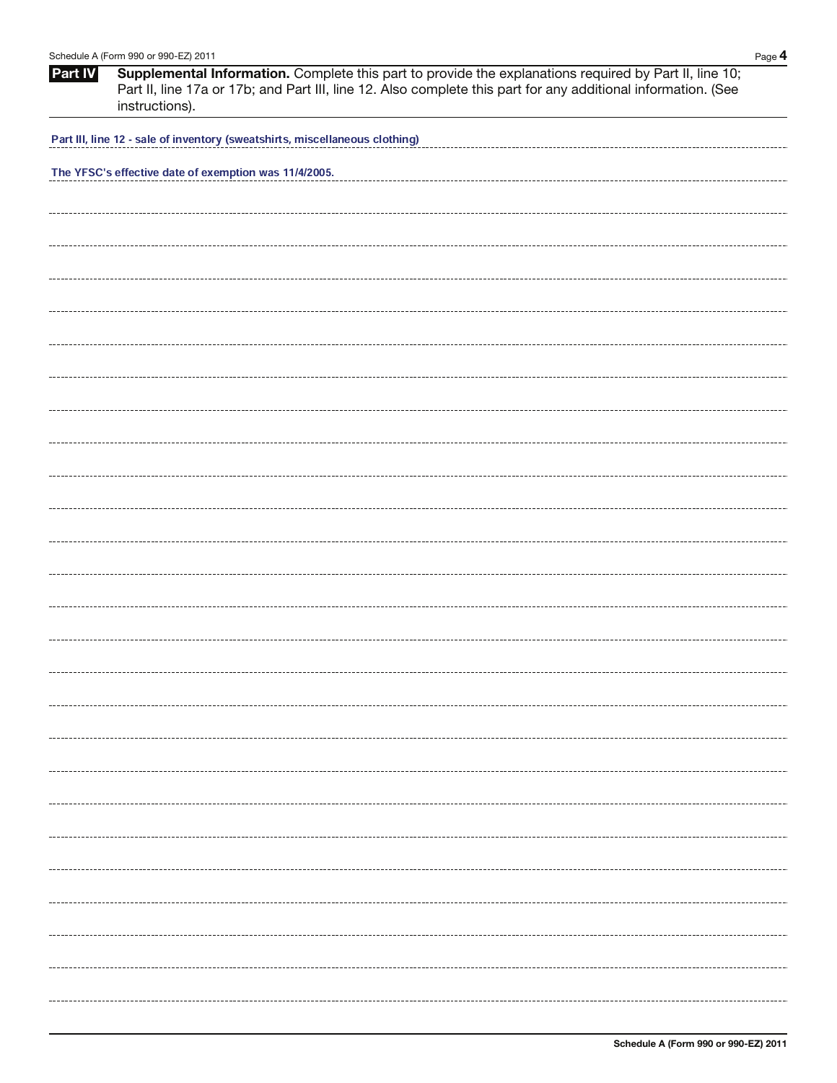|         | Schedule A (Form 990 or 990-EZ) 2011                                                                                                                                                                                                      | Page $4$ |
|---------|-------------------------------------------------------------------------------------------------------------------------------------------------------------------------------------------------------------------------------------------|----------|
| Part IV | Supplemental Information. Complete this part to provide the explanations required by Part II, line 10;<br>Part II, line 17a or 17b; and Part III, line 12. Also complete this part for any additional information. (See<br>instructions). |          |
|         | Part III, line 12 - sale of inventory (sweatshirts, miscellaneous clothing)                                                                                                                                                               |          |
|         | The YFSC's effective date of exemption was 11/4/2005.                                                                                                                                                                                     |          |
|         |                                                                                                                                                                                                                                           |          |
|         |                                                                                                                                                                                                                                           |          |
|         |                                                                                                                                                                                                                                           |          |
|         |                                                                                                                                                                                                                                           |          |
|         |                                                                                                                                                                                                                                           |          |
|         |                                                                                                                                                                                                                                           |          |
|         |                                                                                                                                                                                                                                           |          |
|         |                                                                                                                                                                                                                                           |          |
|         |                                                                                                                                                                                                                                           |          |
|         |                                                                                                                                                                                                                                           |          |
|         |                                                                                                                                                                                                                                           |          |
|         |                                                                                                                                                                                                                                           |          |
|         |                                                                                                                                                                                                                                           |          |
|         |                                                                                                                                                                                                                                           |          |
|         |                                                                                                                                                                                                                                           |          |
|         |                                                                                                                                                                                                                                           |          |
|         |                                                                                                                                                                                                                                           |          |
|         |                                                                                                                                                                                                                                           |          |
|         |                                                                                                                                                                                                                                           |          |
|         |                                                                                                                                                                                                                                           |          |
|         |                                                                                                                                                                                                                                           |          |
|         |                                                                                                                                                                                                                                           |          |
|         |                                                                                                                                                                                                                                           |          |
|         |                                                                                                                                                                                                                                           |          |
|         |                                                                                                                                                                                                                                           |          |
|         |                                                                                                                                                                                                                                           |          |
|         |                                                                                                                                                                                                                                           |          |
|         |                                                                                                                                                                                                                                           |          |
|         |                                                                                                                                                                                                                                           |          |